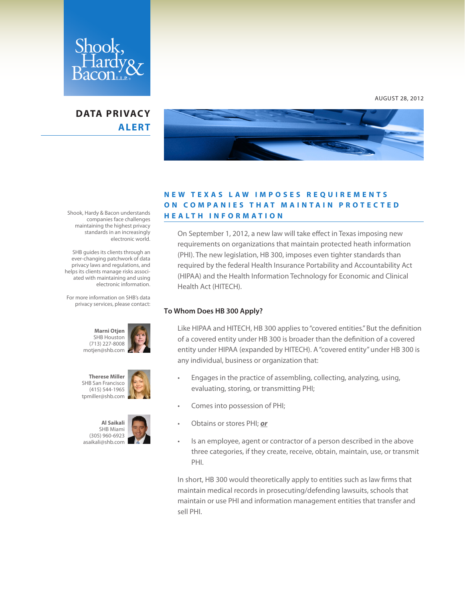

## **DATA PRIVACY ALERT**



### **N E W T E X A S L A W I M P O S E S R E Q U I R E M E N T S ON COMPANIES THAT MAINTAIN PROTECTED H E A LT H I N F O R M AT I O N**

On September 1, 2012, a new law will take effect in Texas imposing new requirements on organizations that maintain protected heath information (PHI). The new legislation, HB 300, imposes even tighter standards than required by the federal Health Insurance Portability and Accountability Act (HIPAA) and the Health Information Technology for Economic and Clinical Health Act (HITECH).

#### **To Whom Does HB 300 Apply?**

Like HIPAA and HITECH, HB 300 applies to "covered entities." But the definition of a covered entity under HB 300 is broader than the definition of a covered entity under HIPAA (expanded by HITECH). A "covered entity" under HB 300 is any individual, business or organization that:

- Engages in the practice of assembling, collecting, analyzing, using, evaluating, storing, or transmitting PHI;
- • Comes into possession of PHI;
- Obtains or stores PHI; or
- Is an employee, agent or contractor of a person described in the above three categories, if they create, receive, obtain, maintain, use, or transmit PHI.

In short, HB 300 would theoretically apply to entities such as law firms that maintain medical records in prosecuting/defending lawsuits, schools that maintain or use PHI and information management entities that transfer and sell PHI.

Shook, Hardy & Bacon understands companies face challenges maintaining the highest privacy standards in an increasingly electronic world.

 SHB guides its clients through an ever-changing patchwork of data privacy laws and regulations, and helps its clients manage risks associated with maintaining and using electronic information.

For more information on SHB's data privacy services, please contact:







AUGUST 28, 2012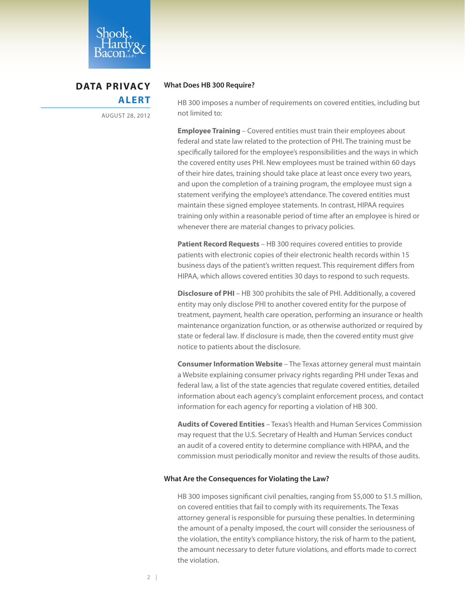

# **DATA PRIVACY ALERT**

AUGUST 28, 2012

#### **What Does HB 300 Require?**

HB 300 imposes a number of requirements on covered entities, including but not limited to:

**Employee Training** – Covered entities must train their employees about federal and state law related to the protection of PHI. The training must be specifically tailored for the employee's responsibilities and the ways in which the covered entity uses PHI. New employees must be trained within 60 days of their hire dates, training should take place at least once every two years, and upon the completion of a training program, the employee must sign a statement verifying the employee's attendance. The covered entities must maintain these signed employee statements. In contrast, HIPAA requires training only within a reasonable period of time after an employee is hired or whenever there are material changes to privacy policies.

**Patient Record Requests** – HB 300 requires covered entities to provide patients with electronic copies of their electronic health records within 15 business days of the patient's written request. This requirement differs from HIPAA, which allows covered entities 30 days to respond to such requests.

**Disclosure of PHI** – HB 300 prohibits the sale of PHI. Additionally, a covered entity may only disclose PHI to another covered entity for the purpose of treatment, payment, health care operation, performing an insurance or health maintenance organization function, or as otherwise authorized or required by state or federal law. If disclosure is made, then the covered entity must give notice to patients about the disclosure.

**Consumer Information Website** – The Texas attorney general must maintain a Website explaining consumer privacy rights regarding PHI under Texas and federal law, a list of the state agencies that regulate covered entities, detailed information about each agency's complaint enforcement process, and contact information for each agency for reporting a violation of HB 300.

**Audits of Covered Entities** – Texas's Health and Human Services Commission may request that the U.S. Secretary of Health and Human Services conduct an audit of a covered entity to determine compliance with HIPAA, and the commission must periodically monitor and review the results of those audits.

#### **What Are the Consequences for Violating the Law?**

HB 300 imposes significant civil penalties, ranging from \$5,000 to \$1.5 million, on covered entities that fail to comply with its requirements. The Texas attorney general is responsible for pursuing these penalties. In determining the amount of a penalty imposed, the court will consider the seriousness of the violation, the entity's compliance history, the risk of harm to the patient, the amount necessary to deter future violations, and efforts made to correct the violation.